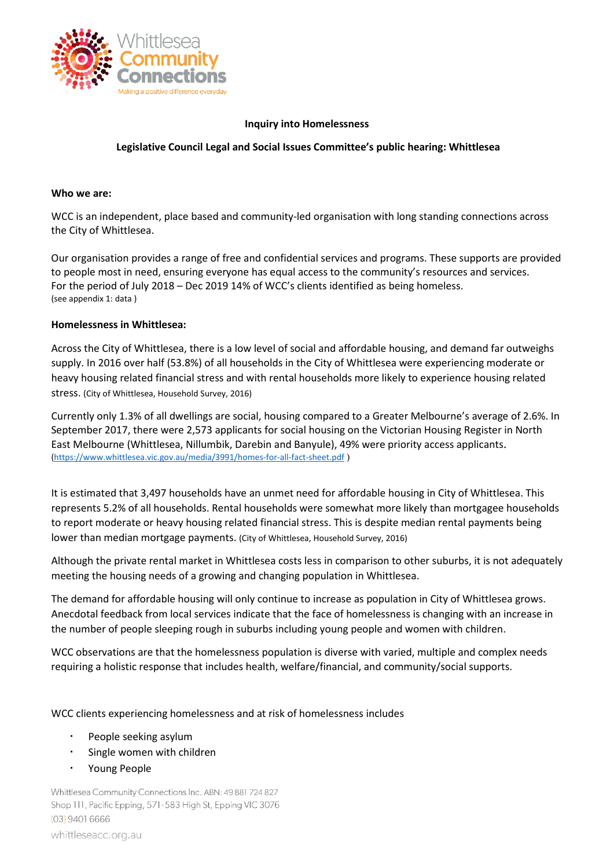

### **Inquiry into Homelessness**

### **Legislative Council Legal and Social Issues Committee's public hearing: Whittlesea**

#### **Who we are:**

WCC is an independent, place based and community-led organisation with long standing connections across the City of Whittlesea.

Our organisation provides a range of free and confidential services and programs. These supports are provided to people most in need, ensuring everyone has equal access to the community's resources and services. For the period of July 2018 – Dec 2019 14% of WCC's clients identified as being homeless. (see appendix 1: data )

#### **Homelessness in Whittlesea:**

Across the City of Whittlesea, there is a low level of social and affordable housing, and demand far outweighs supply. In 2016 over half (53.8%) of all households in the City of Whittlesea were experiencing moderate or heavy housing related financial stress and with rental households more likely to experience housing related stress. (City of Whittlesea, Household Survey, 2016)

Currently only 1.3% of all dwellings are social, housing compared to a Greater Melbourne's average of 2.6%. In September 2017, there were 2,573 applicants for social housing on the Victorian Housing Register in North East Melbourne (Whittlesea, Nillumbik, Darebin and Banyule), 49% were priority access applicants. [\(https://www.whittlesea.vic.gov.au/media/3991/homes-for-all-fact-sheet.pdf](https://www.whittlesea.vic.gov.au/media/3991/homes-for-all-fact-sheet.pdf) )

It is estimated that 3,497 households have an unmet need for affordable housing in City of Whittlesea. This represents 5.2% of all households. Rental households were somewhat more likely than mortgagee households to report moderate or heavy housing related financial stress. This is despite median rental payments being lower than median mortgage payments. (City of Whittlesea, Household Survey, 2016)

Although the private rental market in Whittlesea costs less in comparison to other suburbs, it is not adequately meeting the housing needs of a growing and changing population in Whittlesea.

The demand for affordable housing will only continue to increase as population in City of Whittlesea grows. Anecdotal feedback from local services indicate that the face of homelessness is changing with an increase in the number of people sleeping rough in suburbs including young people and women with children.

WCC observations are that the homelessness population is diverse with varied, multiple and complex needs requiring a holistic response that includes health, welfare/financial, and community/social supports.

WCC clients experiencing homelessness and at risk of homelessness includes

- People seeking asylum
- Single women with children
- Young People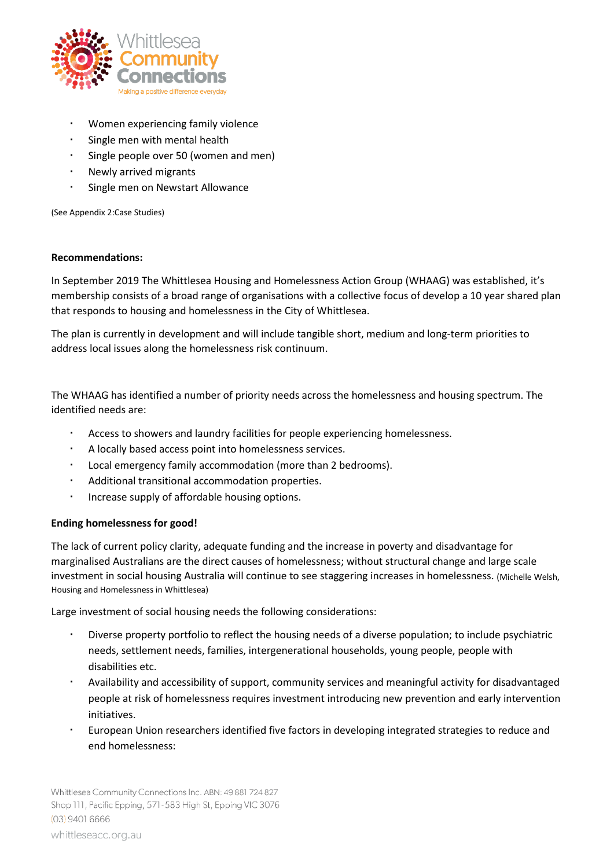

- Women experiencing family violence
- Single men with mental health
- Single people over 50 (women and men)
- Newly arrived migrants
- Single men on Newstart Allowance

(See Appendix 2:Case Studies)

### **Recommendations:**

In September 2019 The Whittlesea Housing and Homelessness Action Group (WHAAG) was established, it's membership consists of a broad range of organisations with a collective focus of develop a 10 year shared plan that responds to housing and homelessness in the City of Whittlesea.

The plan is currently in development and will include tangible short, medium and long-term priorities to address local issues along the homelessness risk continuum.

The WHAAG has identified a number of priority needs across the homelessness and housing spectrum. The identified needs are:

- Access to showers and laundry facilities for people experiencing homelessness.
- A locally based access point into homelessness services.
- Local emergency family accommodation (more than 2 bedrooms).
- Additional transitional accommodation properties.
- Increase supply of affordable housing options.

## **Ending homelessness for good!**

The lack of current policy clarity, adequate funding and the increase in poverty and disadvantage for marginalised Australians are the direct causes of homelessness; without structural change and large scale investment in social housing Australia will continue to see staggering increases in homelessness. (Michelle Welsh, Housing and Homelessness in Whittlesea)

Large investment of social housing needs the following considerations:

- Diverse property portfolio to reflect the housing needs of a diverse population; to include psychiatric needs, settlement needs, families, intergenerational households, young people, people with disabilities etc.
- Availability and accessibility of support, community services and meaningful activity for disadvantaged people at risk of homelessness requires investment introducing new prevention and early intervention initiatives.
- European Union researchers identified five factors in developing integrated strategies to reduce and end homelessness: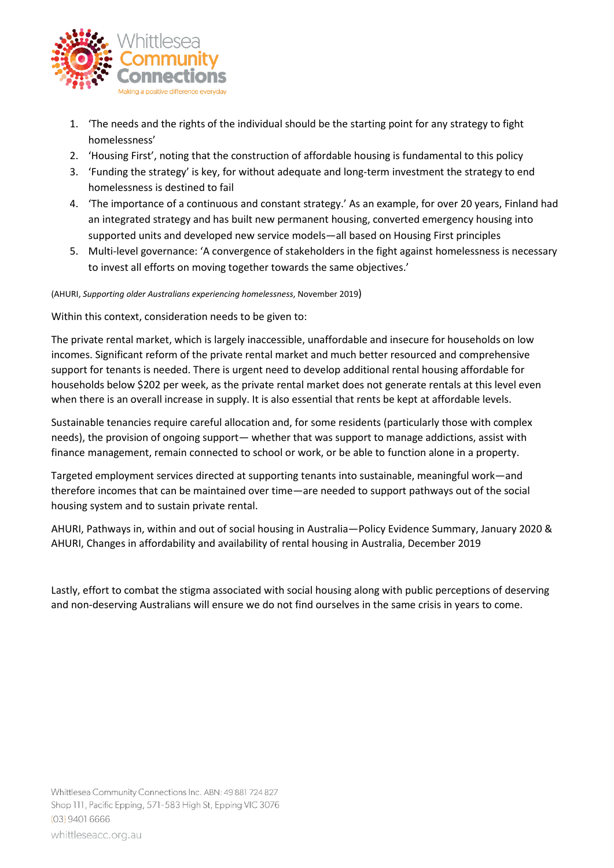

- 1. 'The needs and the rights of the individual should be the starting point for any strategy to fight homelessness'
- 2. 'Housing First', noting that the construction of affordable housing is fundamental to this policy
- 3. 'Funding the strategy' is key, for without adequate and long-term investment the strategy to end homelessness is destined to fail
- 4. 'The importance of a continuous and constant strategy.' As an example, for over 20 years, Finland had an integrated strategy and has built new permanent housing, converted emergency housing into supported units and developed new service models—all based on Housing First principles
- 5. Multi-level governance: 'A convergence of stakeholders in the fight against homelessness is necessary to invest all efforts on moving together towards the same objectives.'

(AHURI, *Supporting older Australians experiencing homelessness*, November 2019)

Within this context, consideration needs to be given to:

The private rental market, which is largely inaccessible, unaffordable and insecure for households on low incomes. Significant reform of the private rental market and much better resourced and comprehensive support for tenants is needed. There is urgent need to develop additional rental housing affordable for households below \$202 per week, as the private rental market does not generate rentals at this level even when there is an overall increase in supply. It is also essential that rents be kept at affordable levels.

Sustainable tenancies require careful allocation and, for some residents (particularly those with complex needs), the provision of ongoing support— whether that was support to manage addictions, assist with finance management, remain connected to school or work, or be able to function alone in a property.

Targeted employment services directed at supporting tenants into sustainable, meaningful work—and therefore incomes that can be maintained over time—are needed to support pathways out of the social housing system and to sustain private rental.

AHURI, Pathways in, within and out of social housing in Australia—Policy Evidence Summary, January 2020 & AHURI, Changes in affordability and availability of rental housing in Australia, December 2019

Lastly, effort to combat the stigma associated with social housing along with public perceptions of deserving and non-deserving Australians will ensure we do not find ourselves in the same crisis in years to come.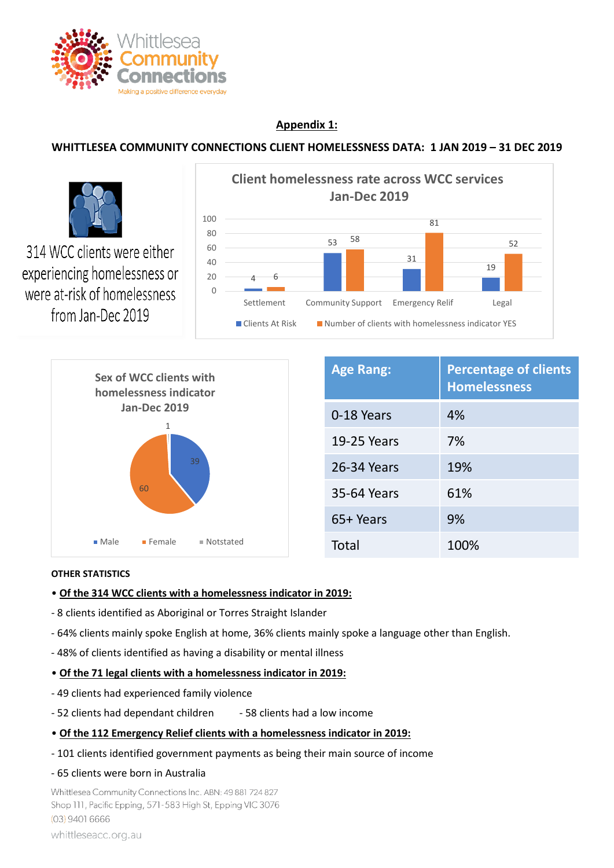

# **Appendix 1:**

# **WHITTLESEA COMMUNITY CONNECTIONS CLIENT HOMELESSNESS DATA: 1 JAN 2019 – 31 DEC 2019**





## **OTHER STATISTICS**

- **Of the 314 WCC clients with a homelessness indicator in 2019:**
- 8 clients identified as Aboriginal or Torres Straight Islander
- 64% clients mainly spoke English at home, 36% clients mainly spoke a language other than English.
- 48% of clients identified as having a disability or mental illness
- **Of the 71 legal clients with a homelessness indicator in 2019:**
- 49 clients had experienced family violence
- 52 clients had dependant children 58 clients had a low income
- **Of the 112 Emergency Relief clients with a homelessness indicator in 2019:**
- 101 clients identified government payments as being their main source of income
- 65 clients were born in Australia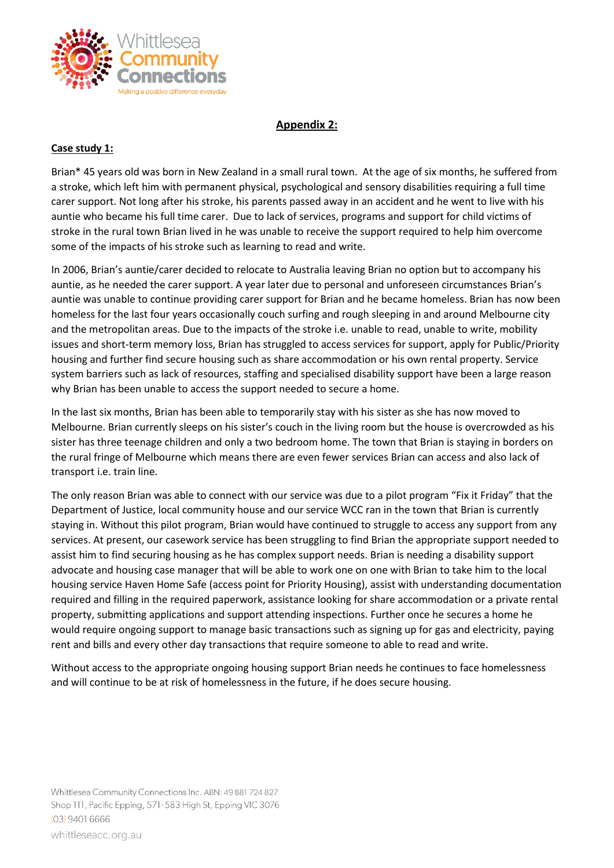

# **Appendix 2:**

# **Case study 1:**

Brian\* 45 years old was born in New Zealand in a small rural town. At the age of six months, he suffered from a stroke, which left him with permanent physical, psychological and sensory disabilities requiring a full time carer support. Not long after his stroke, his parents passed away in an accident and he went to live with his auntie who became his full time carer. Due to lack of services, programs and support for child victims of stroke in the rural town Brian lived in he was unable to receive the support required to help him overcome some of the impacts of his stroke such as learning to read and write.

In 2006, Brian's auntie/carer decided to relocate to Australia leaving Brian no option but to accompany his auntie, as he needed the carer support. A year later due to personal and unforeseen circumstances Brian's auntie was unable to continue providing carer support for Brian and he became homeless. Brian has now been homeless for the last four years occasionally couch surfing and rough sleeping in and around Melbourne city and the metropolitan areas. Due to the impacts of the stroke i.e. unable to read, unable to write, mobility issues and short-term memory loss, Brian has struggled to access services for support, apply for Public/Priority housing and further find secure housing such as share accommodation or his own rental property. Service system barriers such as lack of resources, staffing and specialised disability support have been a large reason why Brian has been unable to access the support needed to secure a home.

In the last six months, Brian has been able to temporarily stay with his sister as she has now moved to Melbourne. Brian currently sleeps on his sister's couch in the living room but the house is overcrowded as his sister has three teenage children and only a two bedroom home. The town that Brian is staying in borders on the rural fringe of Melbourne which means there are even fewer services Brian can access and also lack of transport i.e. train line.

The only reason Brian was able to connect with our service was due to a pilot program "Fix it Friday" that the Department of Justice, local community house and our service WCC ran in the town that Brian is currently staying in. Without this pilot program, Brian would have continued to struggle to access any support from any services. At present, our casework service has been struggling to find Brian the appropriate support needed to assist him to find securing housing as he has complex support needs. Brian is needing a disability support advocate and housing case manager that will be able to work one on one with Brian to take him to the local housing service Haven Home Safe (access point for Priority Housing), assist with understanding documentation required and filling in the required paperwork, assistance looking for share accommodation or a private rental property, submitting applications and support attending inspections. Further once he secures a home he would require ongoing support to manage basic transactions such as signing up for gas and electricity, paying rent and bills and every other day transactions that require someone to able to read and write.

Without access to the appropriate ongoing housing support Brian needs he continues to face homelessness and will continue to be at risk of homelessness in the future, if he does secure housing.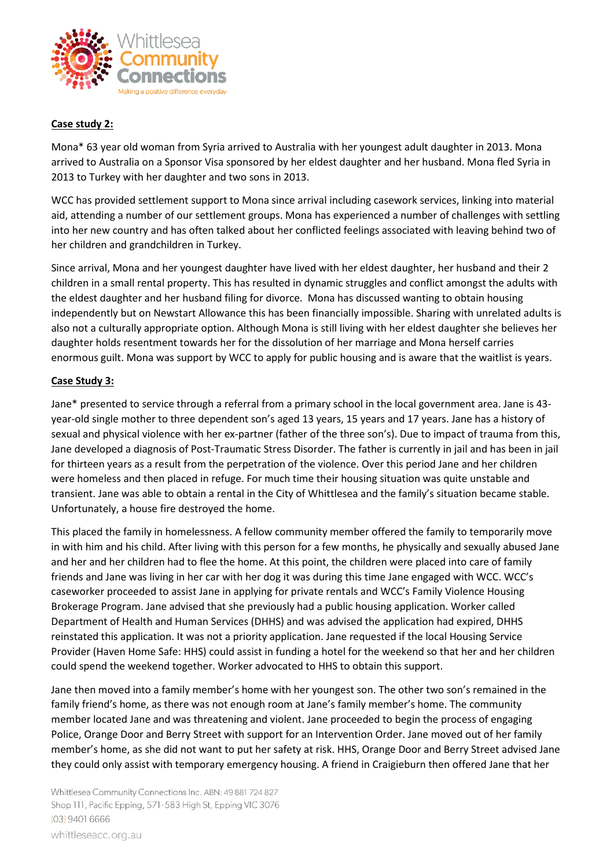

# **Case study 2:**

Mona\* 63 year old woman from Syria arrived to Australia with her youngest adult daughter in 2013. Mona arrived to Australia on a Sponsor Visa sponsored by her eldest daughter and her husband. Mona fled Syria in 2013 to Turkey with her daughter and two sons in 2013.

WCC has provided settlement support to Mona since arrival including casework services, linking into material aid, attending a number of our settlement groups. Mona has experienced a number of challenges with settling into her new country and has often talked about her conflicted feelings associated with leaving behind two of her children and grandchildren in Turkey.

Since arrival, Mona and her youngest daughter have lived with her eldest daughter, her husband and their 2 children in a small rental property. This has resulted in dynamic struggles and conflict amongst the adults with the eldest daughter and her husband filing for divorce. Mona has discussed wanting to obtain housing independently but on Newstart Allowance this has been financially impossible. Sharing with unrelated adults is also not a culturally appropriate option. Although Mona is still living with her eldest daughter she believes her daughter holds resentment towards her for the dissolution of her marriage and Mona herself carries enormous guilt. Mona was support by WCC to apply for public housing and is aware that the waitlist is years.

## **Case Study 3:**

Jane\* presented to service through a referral from a primary school in the local government area. Jane is 43 year-old single mother to three dependent son's aged 13 years, 15 years and 17 years. Jane has a history of sexual and physical violence with her ex-partner (father of the three son's). Due to impact of trauma from this, Jane developed a diagnosis of Post-Traumatic Stress Disorder. The father is currently in jail and has been in jail for thirteen years as a result from the perpetration of the violence. Over this period Jane and her children were homeless and then placed in refuge. For much time their housing situation was quite unstable and transient. Jane was able to obtain a rental in the City of Whittlesea and the family's situation became stable. Unfortunately, a house fire destroyed the home.

This placed the family in homelessness. A fellow community member offered the family to temporarily move in with him and his child. After living with this person for a few months, he physically and sexually abused Jane and her and her children had to flee the home. At this point, the children were placed into care of family friends and Jane was living in her car with her dog it was during this time Jane engaged with WCC. WCC's caseworker proceeded to assist Jane in applying for private rentals and WCC's Family Violence Housing Brokerage Program. Jane advised that she previously had a public housing application. Worker called Department of Health and Human Services (DHHS) and was advised the application had expired, DHHS reinstated this application. It was not a priority application. Jane requested if the local Housing Service Provider (Haven Home Safe: HHS) could assist in funding a hotel for the weekend so that her and her children could spend the weekend together. Worker advocated to HHS to obtain this support.

Jane then moved into a family member's home with her youngest son. The other two son's remained in the family friend's home, as there was not enough room at Jane's family member's home. The community member located Jane and was threatening and violent. Jane proceeded to begin the process of engaging Police, Orange Door and Berry Street with support for an Intervention Order. Jane moved out of her family member's home, as she did not want to put her safety at risk. HHS, Orange Door and Berry Street advised Jane they could only assist with temporary emergency housing. A friend in Craigieburn then offered Jane that her